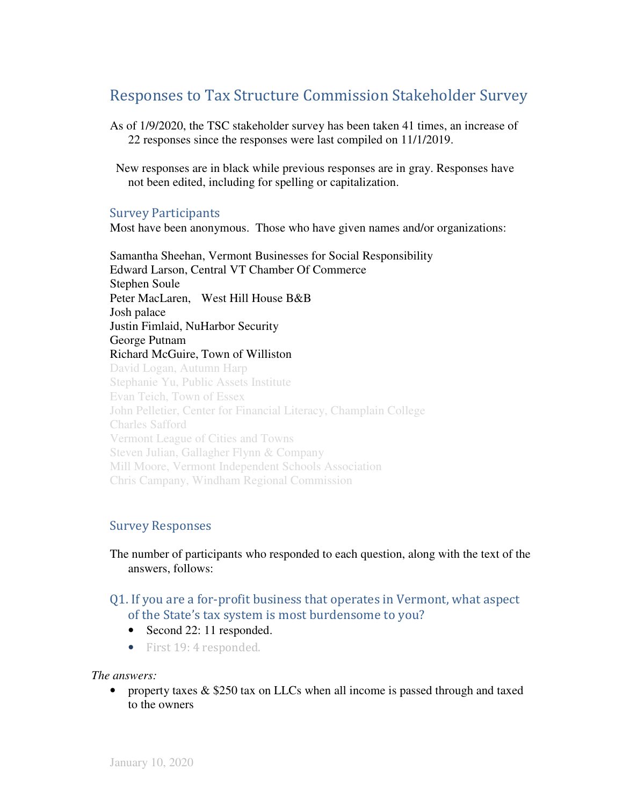# Responses to Tax Structure Commission Stakeholder Survey

As of 1/9/2020, the TSC stakeholder survey has been taken 41 times, an increase of 22 responses since the responses were last compiled on 11/1/2019.

 New responses are in black while previous responses are in gray. Responses have not been edited, including for spelling or capitalization.

### Survey Participants

Most have been anonymous. Those who have given names and/or organizations:

Samantha Sheehan, Vermont Businesses for Social Responsibility Edward Larson, Central VT Chamber Of Commerce Stephen Soule Peter MacLaren, West Hill House B&B Josh palace Justin Fimlaid, NuHarbor Security George Putnam Richard McGuire, Town of Williston David Logan, Autumn Harp Stephanie Yu, Public Assets Institute Evan Teich, Town of Essex John Pelletier, Center for Financial Literacy, Champlain College Charles Safford Vermont League of Cities and Towns Steven Julian, Gallagher Flynn & Company Mill Moore, Vermont Independent Schools Association Chris Campany, Windham Regional Commission

### Survey Responses

The number of participants who responded to each question, along with the text of the answers, follows:

## Q1. If you are a for-profit business that operates in Vermont, what aspect of the State's tax system is most burdensome to you?

- Second 22: 11 responded.
- First 19: 4 responded.

#### *The answers:*

• property taxes  $& $250 \text{ tax on LLCs}$  when all income is passed through and taxed to the owners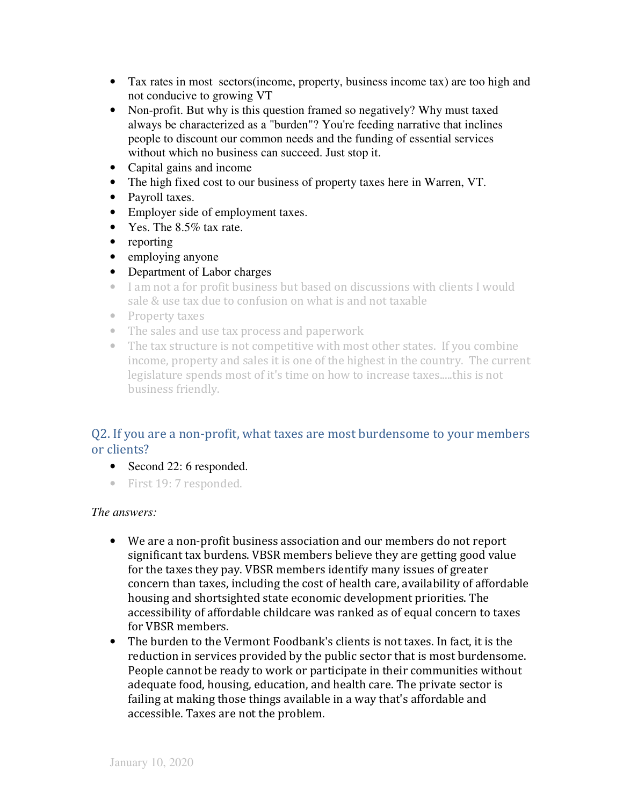- Tax rates in most sectors(income, property, business income tax) are too high and not conducive to growing VT
- Non-profit. But why is this question framed so negatively? Why must taxed always be characterized as a "burden"? You're feeding narrative that inclines people to discount our common needs and the funding of essential services without which no business can succeed. Just stop it.
- Capital gains and income
- The high fixed cost to our business of property taxes here in Warren, VT.
- Payroll taxes.
- Employer side of employment taxes.
- Yes. The 8.5% tax rate.
- reporting
- employing anyone
- Department of Labor charges
- I am not a for profit business but based on discussions with clients I would sale & use tax due to confusion on what is and not taxable
- Property taxes
- The sales and use tax process and paperwork
- The tax structure is not competitive with most other states. If you combine income, property and sales it is one of the highest in the country. The current legislature spends most of it's time on how to increase taxes.....this is not business friendly.

## Q2. If you are a non-profit, what taxes are most burdensome to your members or clients?

- Second 22: 6 responded.
- First 19: 7 responded.

- We are a non-profit business association and our members do not report significant tax burdens. VBSR members believe they are getting good value for the taxes they pay. VBSR members identify many issues of greater concern than taxes, including the cost of health care, availability of affordable housing and shortsighted state economic development priorities. The accessibility of affordable childcare was ranked as of equal concern to taxes for VBSR members.
- The burden to the Vermont Foodbank's clients is not taxes. In fact, it is the reduction in services provided by the public sector that is most burdensome. People cannot be ready to work or participate in their communities without adequate food, housing, education, and health care. The private sector is failing at making those things available in a way that's affordable and accessible. Taxes are not the problem.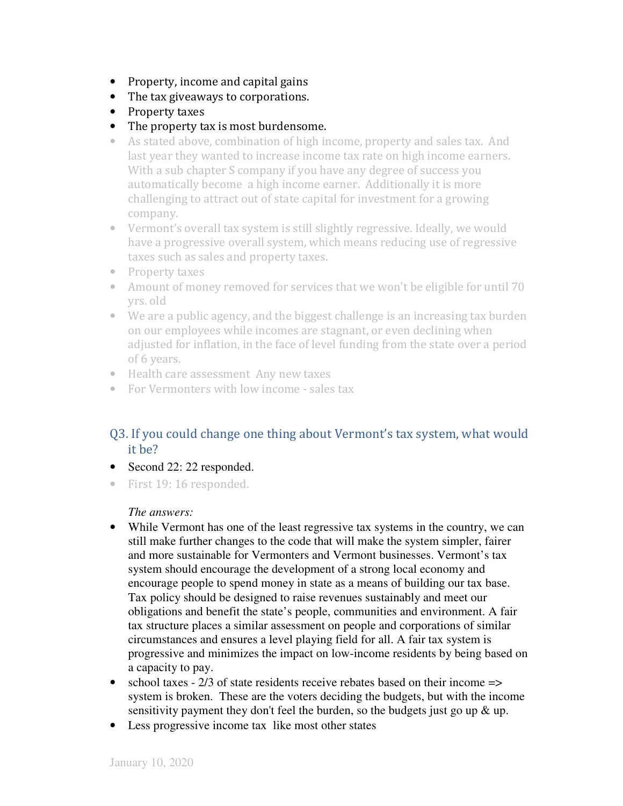- Property, income and capital gains
- The tax giveaways to corporations.
- Property taxes
- The property tax is most burdensome.
- As stated above, combination of high income, property and sales tax. And last year they wanted to increase income tax rate on high income earners. With a sub chapter S company if you have any degree of success you automatically become a high income earner. Additionally it is more challenging to attract out of state capital for investment for a growing company.
- Vermont's overall tax system is still slightly regressive. Ideally, we would have a progressive overall system, which means reducing use of regressive taxes such as sales and property taxes.
- Property taxes
- Amount of money removed for services that we won't be eligible for until 70 yrs. old
- We are a public agency, and the biggest challenge is an increasing tax burden on our employees while incomes are stagnant, or even declining when adjusted for inflation, in the face of level funding from the state over a period of 6 years.
- Health care assessment Any new taxes
- For Vermonters with low income sales tax

# Q3. If you could change one thing about Vermont's tax system, what would it be?

- Second 22: 22 responded.
- First 19: 16 responded.

- While Vermont has one of the least regressive tax systems in the country, we can still make further changes to the code that will make the system simpler, fairer and more sustainable for Vermonters and Vermont businesses. Vermont's tax system should encourage the development of a strong local economy and encourage people to spend money in state as a means of building our tax base. Tax policy should be designed to raise revenues sustainably and meet our obligations and benefit the state's people, communities and environment. A fair tax structure places a similar assessment on people and corporations of similar circumstances and ensures a level playing field for all. A fair tax system is progressive and minimizes the impact on low-income residents by being based on a capacity to pay.
- school taxes  $-2/3$  of state residents receive rebates based on their income  $\Rightarrow$ system is broken. These are the voters deciding the budgets, but with the income sensitivity payment they don't feel the burden, so the budgets just go up & up.
- Less progressive income tax like most other states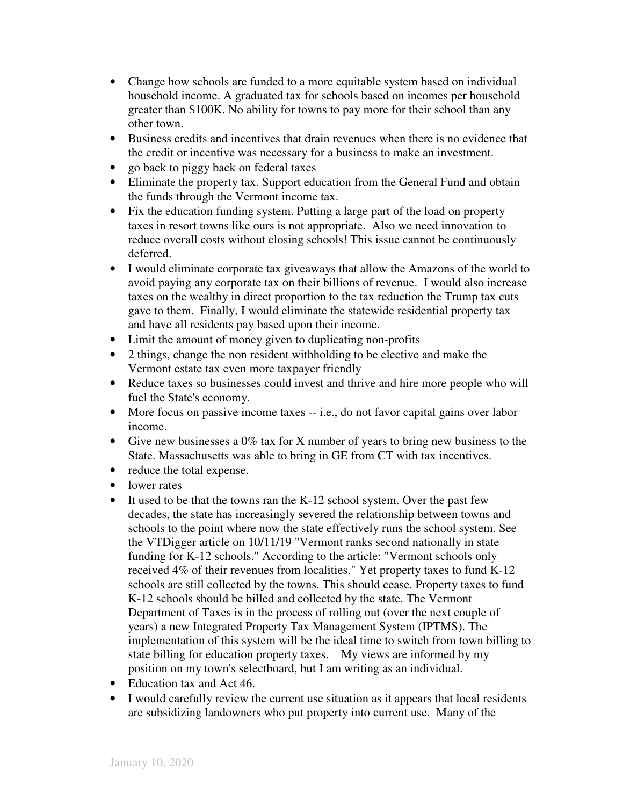- Change how schools are funded to a more equitable system based on individual household income. A graduated tax for schools based on incomes per household greater than \$100K. No ability for towns to pay more for their school than any other town.
- Business credits and incentives that drain revenues when there is no evidence that the credit or incentive was necessary for a business to make an investment.
- go back to piggy back on federal taxes
- Eliminate the property tax. Support education from the General Fund and obtain the funds through the Vermont income tax.
- Fix the education funding system. Putting a large part of the load on property taxes in resort towns like ours is not appropriate. Also we need innovation to reduce overall costs without closing schools! This issue cannot be continuously deferred.
- I would eliminate corporate tax giveaways that allow the Amazons of the world to avoid paying any corporate tax on their billions of revenue. I would also increase taxes on the wealthy in direct proportion to the tax reduction the Trump tax cuts gave to them. Finally, I would eliminate the statewide residential property tax and have all residents pay based upon their income.
- Limit the amount of money given to duplicating non-profits
- 2 things, change the non resident withholding to be elective and make the Vermont estate tax even more taxpayer friendly
- Reduce taxes so businesses could invest and thrive and hire more people who will fuel the State's economy.
- More focus on passive income taxes -- i.e., do not favor capital gains over labor income.
- Give new businesses a 0% tax for X number of years to bring new business to the State. Massachusetts was able to bring in GE from CT with tax incentives.
- reduce the total expense.
- lower rates
- It used to be that the towns ran the K-12 school system. Over the past few decades, the state has increasingly severed the relationship between towns and schools to the point where now the state effectively runs the school system. See the VTDigger article on 10/11/19 "Vermont ranks second nationally in state funding for K-12 schools." According to the article: "Vermont schools only received 4% of their revenues from localities." Yet property taxes to fund K-12 schools are still collected by the towns. This should cease. Property taxes to fund K-12 schools should be billed and collected by the state. The Vermont Department of Taxes is in the process of rolling out (over the next couple of years) a new Integrated Property Tax Management System (IPTMS). The implementation of this system will be the ideal time to switch from town billing to state billing for education property taxes. My views are informed by my position on my town's selectboard, but I am writing as an individual.
- Education tax and Act 46.
- I would carefully review the current use situation as it appears that local residents are subsidizing landowners who put property into current use. Many of the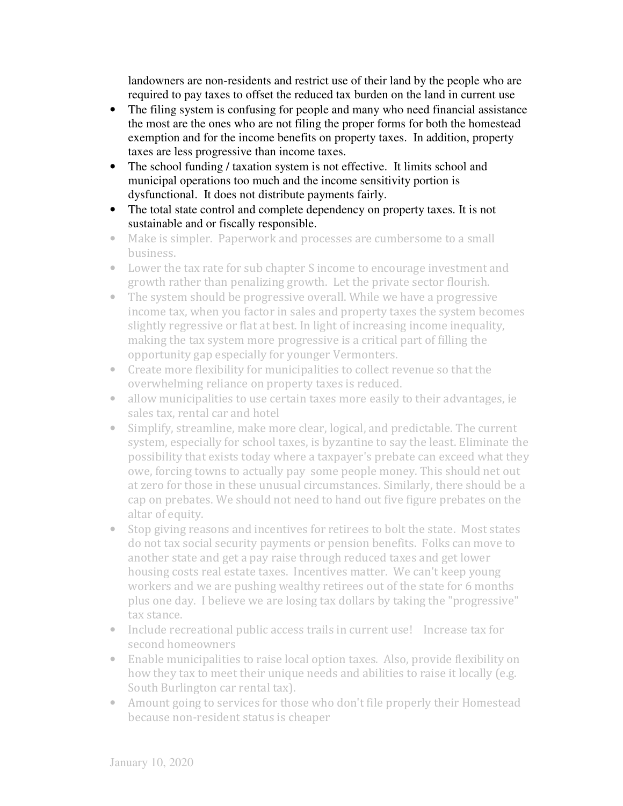landowners are non-residents and restrict use of their land by the people who are required to pay taxes to offset the reduced tax burden on the land in current use

- The filing system is confusing for people and many who need financial assistance the most are the ones who are not filing the proper forms for both the homestead exemption and for the income benefits on property taxes. In addition, property taxes are less progressive than income taxes.
- The school funding / taxation system is not effective. It limits school and municipal operations too much and the income sensitivity portion is dysfunctional. It does not distribute payments fairly.
- The total state control and complete dependency on property taxes. It is not sustainable and or fiscally responsible.
- Make is simpler. Paperwork and processes are cumbersome to a small business.
- Lower the tax rate for sub chapter S income to encourage investment and growth rather than penalizing growth. Let the private sector flourish.
- The system should be progressive overall. While we have a progressive income tax, when you factor in sales and property taxes the system becomes slightly regressive or flat at best. In light of increasing income inequality, making the tax system more progressive is a critical part of filling the opportunity gap especially for younger Vermonters.
- Create more flexibility for municipalities to collect revenue so that the overwhelming reliance on property taxes is reduced.
- allow municipalities to use certain taxes more easily to their advantages, ie sales tax, rental car and hotel
- Simplify, streamline, make more clear, logical, and predictable. The current system, especially for school taxes, is byzantine to say the least. Eliminate the possibility that exists today where a taxpayer's prebate can exceed what they owe, forcing towns to actually pay some people money. This should net out at zero for those in these unusual circumstances. Similarly, there should be a cap on prebates. We should not need to hand out five figure prebates on the altar of equity.
- Stop giving reasons and incentives for retirees to bolt the state. Most states do not tax social security payments or pension benefits. Folks can move to another state and get a pay raise through reduced taxes and get lower housing costs real estate taxes. Incentives matter. We can't keep young workers and we are pushing wealthy retirees out of the state for 6 months plus one day. I believe we are losing tax dollars by taking the "progressive" tax stance.
- Include recreational public access trails in current use! Increase tax for second homeowners
- Enable municipalities to raise local option taxes. Also, provide flexibility on how they tax to meet their unique needs and abilities to raise it locally (e.g. South Burlington car rental tax).
- Amount going to services for those who don't file properly their Homestead because non-resident status is cheaper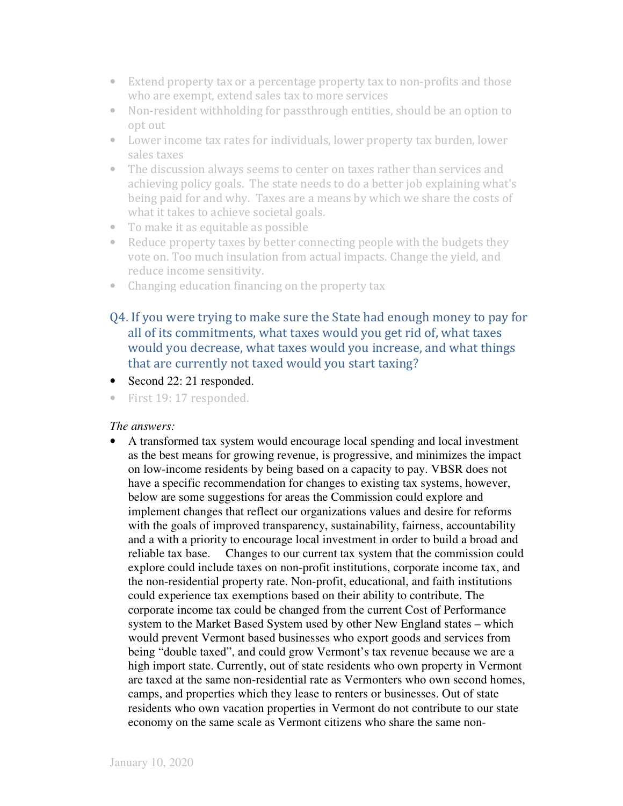- Extend property tax or a percentage property tax to non-profits and those who are exempt, extend sales tax to more services
- Non-resident withholding for passthrough entities, should be an option to opt out
- Lower income tax rates for individuals, lower property tax burden, lower sales taxes
- The discussion always seems to center on taxes rather than services and achieving policy goals. The state needs to do a better job explaining what's being paid for and why. Taxes are a means by which we share the costs of what it takes to achieve societal goals.
- To make it as equitable as possible
- Reduce property taxes by better connecting people with the budgets they vote on. Too much insulation from actual impacts. Change the yield, and reduce income sensitivity.
- Changing education financing on the property tax
- Q4. If you were trying to make sure the State had enough money to pay for all of its commitments, what taxes would you get rid of, what taxes would you decrease, what taxes would you increase, and what things that are currently not taxed would you start taxing?
- Second 22: 21 responded.
- First 19: 17 responded.

### *The answers:*

• A transformed tax system would encourage local spending and local investment as the best means for growing revenue, is progressive, and minimizes the impact on low-income residents by being based on a capacity to pay. VBSR does not have a specific recommendation for changes to existing tax systems, however, below are some suggestions for areas the Commission could explore and implement changes that reflect our organizations values and desire for reforms with the goals of improved transparency, sustainability, fairness, accountability and a with a priority to encourage local investment in order to build a broad and reliable tax base. Changes to our current tax system that the commission could explore could include taxes on non-profit institutions, corporate income tax, and the non-residential property rate. Non-profit, educational, and faith institutions could experience tax exemptions based on their ability to contribute. The corporate income tax could be changed from the current Cost of Performance system to the Market Based System used by other New England states – which would prevent Vermont based businesses who export goods and services from being "double taxed", and could grow Vermont's tax revenue because we are a high import state. Currently, out of state residents who own property in Vermont are taxed at the same non-residential rate as Vermonters who own second homes, camps, and properties which they lease to renters or businesses. Out of state residents who own vacation properties in Vermont do not contribute to our state economy on the same scale as Vermont citizens who share the same non-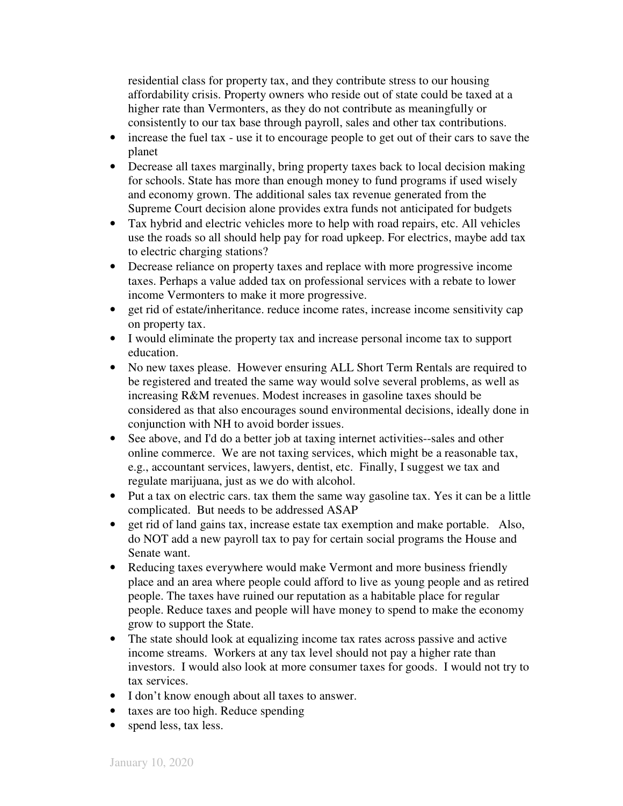residential class for property tax, and they contribute stress to our housing affordability crisis. Property owners who reside out of state could be taxed at a higher rate than Vermonters, as they do not contribute as meaningfully or consistently to our tax base through payroll, sales and other tax contributions.

- increase the fuel tax use it to encourage people to get out of their cars to save the planet
- Decrease all taxes marginally, bring property taxes back to local decision making for schools. State has more than enough money to fund programs if used wisely and economy grown. The additional sales tax revenue generated from the Supreme Court decision alone provides extra funds not anticipated for budgets
- Tax hybrid and electric vehicles more to help with road repairs, etc. All vehicles use the roads so all should help pay for road upkeep. For electrics, maybe add tax to electric charging stations?
- Decrease reliance on property taxes and replace with more progressive income taxes. Perhaps a value added tax on professional services with a rebate to lower income Vermonters to make it more progressive.
- get rid of estate/inheritance. reduce income rates, increase income sensitivity cap on property tax.
- I would eliminate the property tax and increase personal income tax to support education.
- No new taxes please. However ensuring ALL Short Term Rentals are required to be registered and treated the same way would solve several problems, as well as increasing R&M revenues. Modest increases in gasoline taxes should be considered as that also encourages sound environmental decisions, ideally done in conjunction with NH to avoid border issues.
- See above, and I'd do a better job at taxing internet activities-sales and other online commerce. We are not taxing services, which might be a reasonable tax, e.g., accountant services, lawyers, dentist, etc. Finally, I suggest we tax and regulate marijuana, just as we do with alcohol.
- Put a tax on electric cars. tax them the same way gasoline tax. Yes it can be a little complicated. But needs to be addressed ASAP
- get rid of land gains tax, increase estate tax exemption and make portable. Also, do NOT add a new payroll tax to pay for certain social programs the House and Senate want.
- Reducing taxes everywhere would make Vermont and more business friendly place and an area where people could afford to live as young people and as retired people. The taxes have ruined our reputation as a habitable place for regular people. Reduce taxes and people will have money to spend to make the economy grow to support the State.
- The state should look at equalizing income tax rates across passive and active income streams. Workers at any tax level should not pay a higher rate than investors. I would also look at more consumer taxes for goods. I would not try to tax services.
- I don't know enough about all taxes to answer.
- taxes are too high. Reduce spending
- spend less, tax less.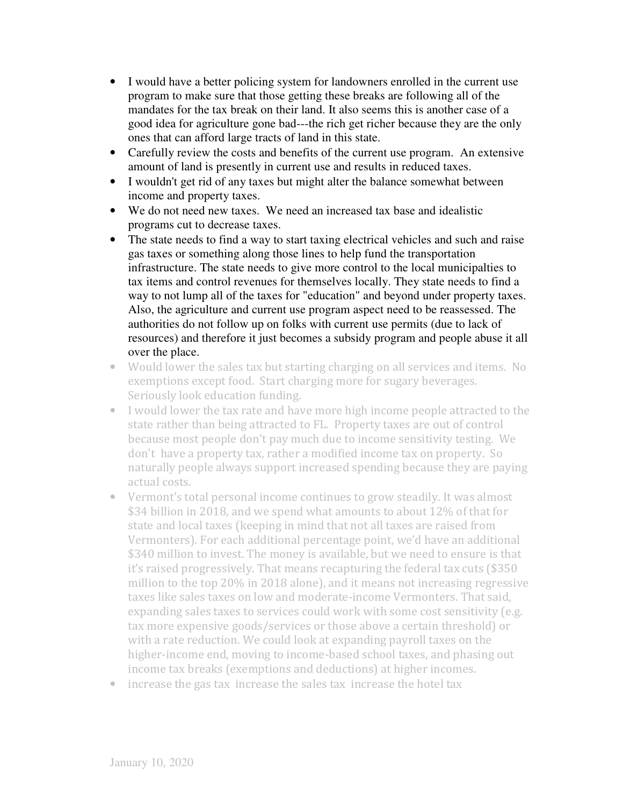- I would have a better policing system for landowners enrolled in the current use program to make sure that those getting these breaks are following all of the mandates for the tax break on their land. It also seems this is another case of a good idea for agriculture gone bad---the rich get richer because they are the only ones that can afford large tracts of land in this state.
- Carefully review the costs and benefits of the current use program. An extensive amount of land is presently in current use and results in reduced taxes.
- I wouldn't get rid of any taxes but might alter the balance somewhat between income and property taxes.
- We do not need new taxes. We need an increased tax base and idealistic programs cut to decrease taxes.
- The state needs to find a way to start taxing electrical vehicles and such and raise gas taxes or something along those lines to help fund the transportation infrastructure. The state needs to give more control to the local municipalties to tax items and control revenues for themselves locally. They state needs to find a way to not lump all of the taxes for "education" and beyond under property taxes. Also, the agriculture and current use program aspect need to be reassessed. The authorities do not follow up on folks with current use permits (due to lack of resources) and therefore it just becomes a subsidy program and people abuse it all over the place.
- Would lower the sales tax but starting charging on all services and items. No exemptions except food. Start charging more for sugary beverages. Seriously look education funding.
- I would lower the tax rate and have more high income people attracted to the state rather than being attracted to FL. Property taxes are out of control because most people don't pay much due to income sensitivity testing. We don't have a property tax, rather a modified income tax on property. So naturally people always support increased spending because they are paying actual costs.
- Vermont's total personal income continues to grow steadily. It was almost \$34 billion in 2018, and we spend what amounts to about 12% of that for state and local taxes (keeping in mind that not all taxes are raised from Vermonters). For each additional percentage point, we'd have an additional \$340 million to invest. The money is available, but we need to ensure is that it's raised progressively. That means recapturing the federal tax cuts (\$350 million to the top 20% in 2018 alone), and it means not increasing regressive taxes like sales taxes on low and moderate-income Vermonters. That said, expanding sales taxes to services could work with some cost sensitivity (e.g. tax more expensive goods/services or those above a certain threshold) or with a rate reduction. We could look at expanding payroll taxes on the higher-income end, moving to income-based school taxes, and phasing out income tax breaks (exemptions and deductions) at higher incomes.
- increase the gas tax increase the sales tax increase the hotel tax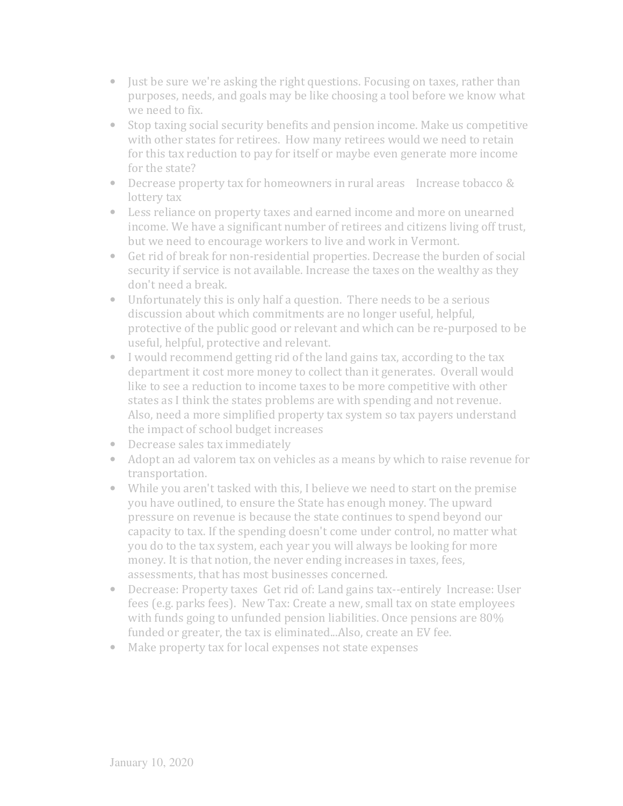- Just be sure we're asking the right questions. Focusing on taxes, rather than purposes, needs, and goals may be like choosing a tool before we know what we need to fix.
- Stop taxing social security benefits and pension income. Make us competitive with other states for retirees. How many retirees would we need to retain for this tax reduction to pay for itself or maybe even generate more income for the state?
- Decrease property tax for homeowners in rural areas Increase tobacco & lottery tax
- Less reliance on property taxes and earned income and more on unearned income. We have a significant number of retirees and citizens living off trust, but we need to encourage workers to live and work in Vermont.
- Get rid of break for non-residential properties. Decrease the burden of social security if service is not available. Increase the taxes on the wealthy as they don't need a break.
- Unfortunately this is only half a question. There needs to be a serious discussion about which commitments are no longer useful, helpful, protective of the public good or relevant and which can be re-purposed to be useful, helpful, protective and relevant.
- I would recommend getting rid of the land gains tax, according to the tax department it cost more money to collect than it generates. Overall would like to see a reduction to income taxes to be more competitive with other states as I think the states problems are with spending and not revenue. Also, need a more simplified property tax system so tax payers understand the impact of school budget increases
- Decrease sales tax immediately
- Adopt an ad valorem tax on vehicles as a means by which to raise revenue for transportation.
- While you aren't tasked with this, I believe we need to start on the premise you have outlined, to ensure the State has enough money. The upward pressure on revenue is because the state continues to spend beyond our capacity to tax. If the spending doesn't come under control, no matter what you do to the tax system, each year you will always be looking for more money. It is that notion, the never ending increases in taxes, fees, assessments, that has most businesses concerned.
- Decrease: Property taxes Get rid of: Land gains tax--entirely Increase: User fees (e.g. parks fees). New Tax: Create a new, small tax on state employees with funds going to unfunded pension liabilities. Once pensions are 80% funded or greater, the tax is eliminated...Also, create an EV fee.
- Make property tax for local expenses not state expenses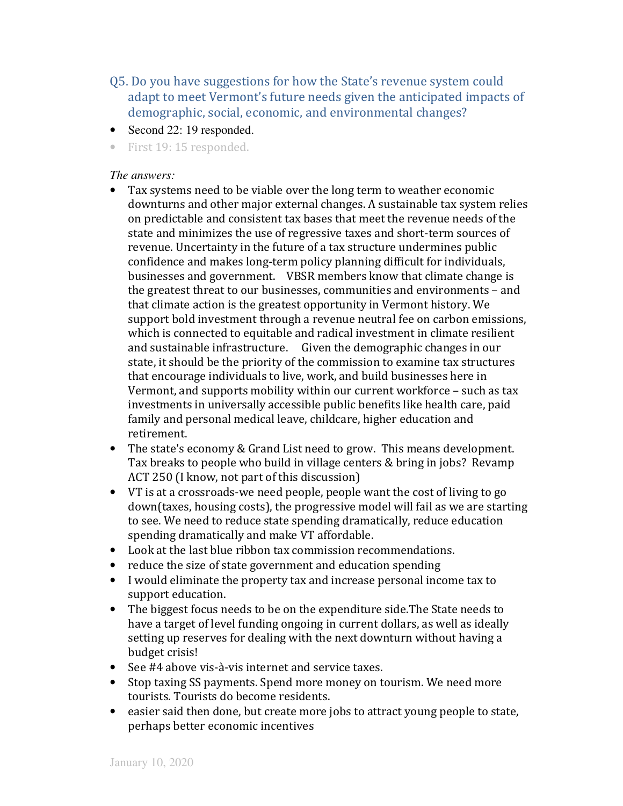Q5. Do you have suggestions for how the State's revenue system could adapt to meet Vermont's future needs given the anticipated impacts of demographic, social, economic, and environmental changes?

- Second 22: 19 responded.
- First 19: 15 responded.

- Tax systems need to be viable over the long term to weather economic downturns and other major external changes. A sustainable tax system relies on predictable and consistent tax bases that meet the revenue needs of the state and minimizes the use of regressive taxes and short-term sources of revenue. Uncertainty in the future of a tax structure undermines public confidence and makes long-term policy planning difficult for individuals, businesses and government. VBSR members know that climate change is the greatest threat to our businesses, communities and environments – and that climate action is the greatest opportunity in Vermont history. We support bold investment through a revenue neutral fee on carbon emissions, which is connected to equitable and radical investment in climate resilient and sustainable infrastructure. Given the demographic changes in our state, it should be the priority of the commission to examine tax structures that encourage individuals to live, work, and build businesses here in Vermont, and supports mobility within our current workforce – such as tax investments in universally accessible public benefits like health care, paid family and personal medical leave, childcare, higher education and retirement.
- The state's economy & Grand List need to grow. This means development. Tax breaks to people who build in village centers & bring in jobs? Revamp ACT 250 (I know, not part of this discussion)
- VT is at a crossroads-we need people, people want the cost of living to go down(taxes, housing costs), the progressive model will fail as we are starting to see. We need to reduce state spending dramatically, reduce education spending dramatically and make VT affordable.
- Look at the last blue ribbon tax commission recommendations.
- reduce the size of state government and education spending
- I would eliminate the property tax and increase personal income tax to support education.
- The biggest focus needs to be on the expenditure side. The State needs to have a target of level funding ongoing in current dollars, as well as ideally setting up reserves for dealing with the next downturn without having a budget crisis!
- See #4 above vis-à-vis internet and service taxes.
- Stop taxing SS payments. Spend more money on tourism. We need more tourists. Tourists do become residents.
- easier said then done, but create more jobs to attract young people to state, perhaps better economic incentives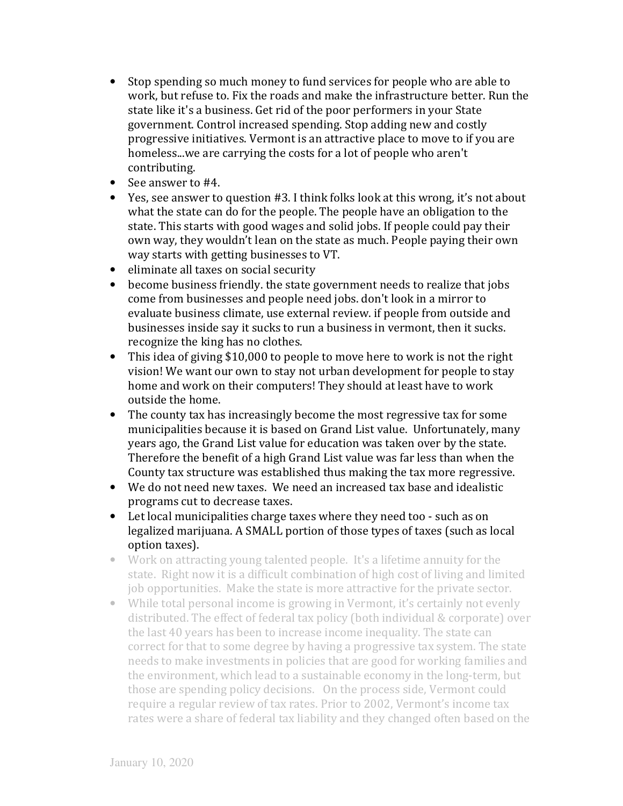- Stop spending so much money to fund services for people who are able to work, but refuse to. Fix the roads and make the infrastructure better. Run the state like it's a business. Get rid of the poor performers in your State government. Control increased spending. Stop adding new and costly progressive initiatives. Vermont is an attractive place to move to if you are homeless...we are carrying the costs for a lot of people who aren't contributing.
- See answer to #4.
- Yes, see answer to question #3. I think folks look at this wrong, it's not about what the state can do for the people. The people have an obligation to the state. This starts with good wages and solid jobs. If people could pay their own way, they wouldn't lean on the state as much. People paying their own way starts with getting businesses to VT.
- eliminate all taxes on social security
- become business friendly. the state government needs to realize that jobs come from businesses and people need jobs. don't look in a mirror to evaluate business climate, use external review. if people from outside and businesses inside say it sucks to run a business in vermont, then it sucks. recognize the king has no clothes.
- This idea of giving \$10,000 to people to move here to work is not the right vision! We want our own to stay not urban development for people to stay home and work on their computers! They should at least have to work outside the home.
- The county tax has increasingly become the most regressive tax for some municipalities because it is based on Grand List value. Unfortunately, many years ago, the Grand List value for education was taken over by the state. Therefore the benefit of a high Grand List value was far less than when the County tax structure was established thus making the tax more regressive.
- We do not need new taxes. We need an increased tax base and idealistic programs cut to decrease taxes.
- Let local municipalities charge taxes where they need too such as on legalized marijuana. A SMALL portion of those types of taxes (such as local option taxes).
- Work on attracting young talented people. It's a lifetime annuity for the state. Right now it is a difficult combination of high cost of living and limited job opportunities. Make the state is more attractive for the private sector.
- While total personal income is growing in Vermont, it's certainly not evenly distributed. The effect of federal tax policy (both individual & corporate) over the last 40 years has been to increase income inequality. The state can correct for that to some degree by having a progressive tax system. The state needs to make investments in policies that are good for working families and the environment, which lead to a sustainable economy in the long-term, but those are spending policy decisions. On the process side, Vermont could require a regular review of tax rates. Prior to 2002, Vermont's income tax rates were a share of federal tax liability and they changed often based on the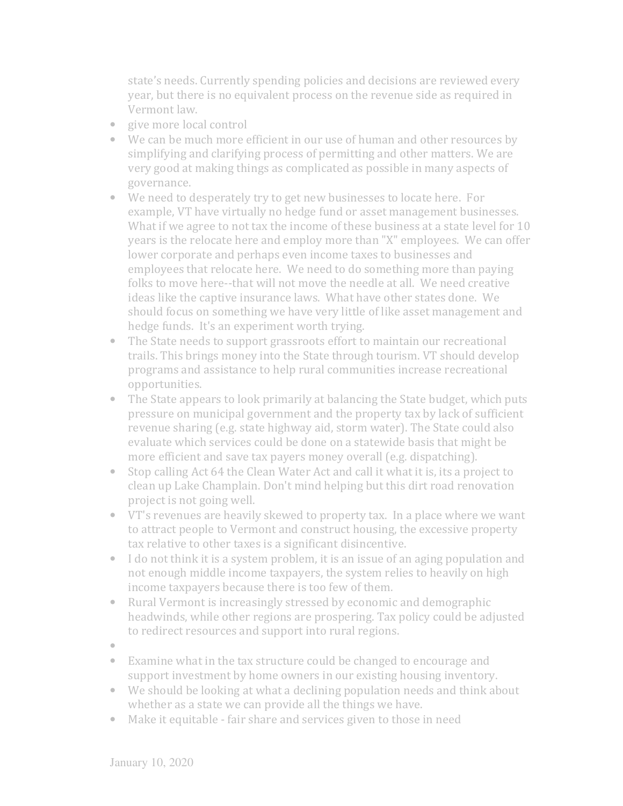state's needs. Currently spending policies and decisions are reviewed every year, but there is no equivalent process on the revenue side as required in Vermont law.

- give more local control
- We can be much more efficient in our use of human and other resources by simplifying and clarifying process of permitting and other matters. We are very good at making things as complicated as possible in many aspects of governance.
- We need to desperately try to get new businesses to locate here. For example, VT have virtually no hedge fund or asset management businesses. What if we agree to not tax the income of these business at a state level for 10 years is the relocate here and employ more than "X" employees. We can offer lower corporate and perhaps even income taxes to businesses and employees that relocate here. We need to do something more than paying folks to move here--that will not move the needle at all. We need creative ideas like the captive insurance laws. What have other states done. We should focus on something we have very little of like asset management and hedge funds. It's an experiment worth trying.
- The State needs to support grassroots effort to maintain our recreational trails. This brings money into the State through tourism. VT should develop programs and assistance to help rural communities increase recreational opportunities.
- The State appears to look primarily at balancing the State budget, which puts pressure on municipal government and the property tax by lack of sufficient revenue sharing (e.g. state highway aid, storm water). The State could also evaluate which services could be done on a statewide basis that might be more efficient and save tax payers money overall (e.g. dispatching).
- Stop calling Act 64 the Clean Water Act and call it what it is, its a project to clean up Lake Champlain. Don't mind helping but this dirt road renovation project is not going well.
- VT's revenues are heavily skewed to property tax. In a place where we want to attract people to Vermont and construct housing, the excessive property tax relative to other taxes is a significant disincentive.
- I do not think it is a system problem, it is an issue of an aging population and not enough middle income taxpayers, the system relies to heavily on high income taxpayers because there is too few of them.
- Rural Vermont is increasingly stressed by economic and demographic headwinds, while other regions are prospering. Tax policy could be adjusted to redirect resources and support into rural regions.
- •
- Examine what in the tax structure could be changed to encourage and support investment by home owners in our existing housing inventory.
- We should be looking at what a declining population needs and think about whether as a state we can provide all the things we have.
- Make it equitable fair share and services given to those in need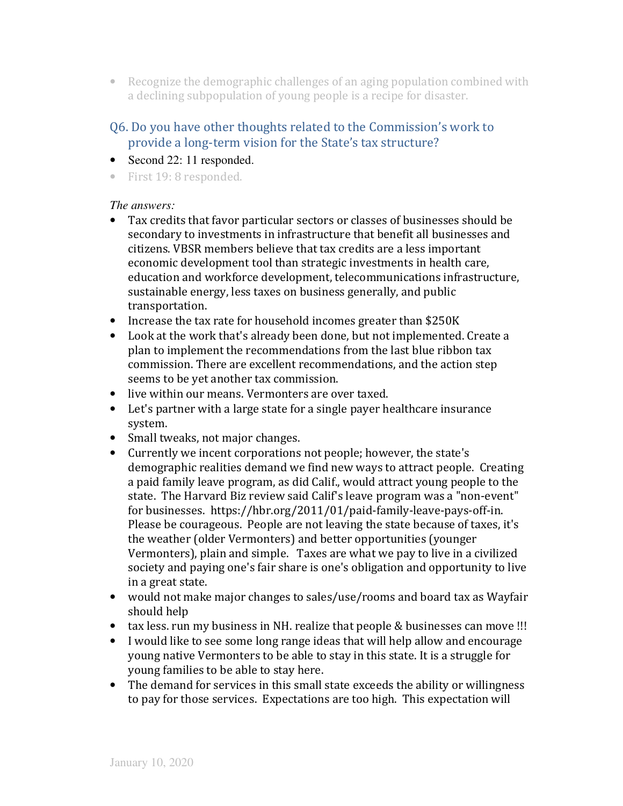• Recognize the demographic challenges of an aging population combined with a declining subpopulation of young people is a recipe for disaster.

# Q6. Do you have other thoughts related to the Commission's work to provide a long-term vision for the State's tax structure?

- Second 22: 11 responded.
- First 19: 8 responded.

- Tax credits that favor particular sectors or classes of businesses should be secondary to investments in infrastructure that benefit all businesses and citizens. VBSR members believe that tax credits are a less important economic development tool than strategic investments in health care, education and workforce development, telecommunications infrastructure, sustainable energy, less taxes on business generally, and public transportation.
- Increase the tax rate for household incomes greater than \$250K
- Look at the work that's already been done, but not implemented. Create a plan to implement the recommendations from the last blue ribbon tax commission. There are excellent recommendations, and the action step seems to be yet another tax commission.
- live within our means. Vermonters are over taxed.
- Let's partner with a large state for a single payer healthcare insurance system.
- Small tweaks, not major changes.
- Currently we incent corporations not people; however, the state's demographic realities demand we find new ways to attract people. Creating a paid family leave program, as did Calif., would attract young people to the state. The Harvard Biz review said Calif's leave program was a "non-event" for businesses. https://hbr.org/2011/01/paid-family-leave-pays-off-in. Please be courageous. People are not leaving the state because of taxes, it's the weather (older Vermonters) and better opportunities (younger Vermonters), plain and simple. Taxes are what we pay to live in a civilized society and paying one's fair share is one's obligation and opportunity to live in a great state.
- would not make major changes to sales/use/rooms and board tax as Wayfair should help
- tax less. run my business in NH. realize that people & businesses can move !!!
- I would like to see some long range ideas that will help allow and encourage young native Vermonters to be able to stay in this state. It is a struggle for young families to be able to stay here.
- The demand for services in this small state exceeds the ability or willingness to pay for those services. Expectations are too high. This expectation will